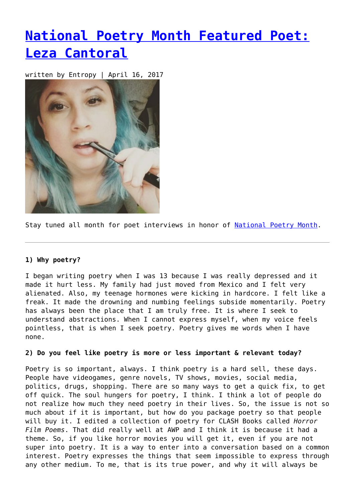## **[National Poetry Month Featured Poet:](https://entropymag.org/national-poetry-month-featured-poet-leza-cantoral/) [Leza Cantoral](https://entropymag.org/national-poetry-month-featured-poet-leza-cantoral/)**

written by Entropy | April 16, 2017



Stay tuned all month for poet interviews in honor of [National Poetry Month.](https://entropymag.org/tag/national-poetry-month)

## **1) Why poetry?**

I began writing poetry when I was 13 because I was really depressed and it made it hurt less. My family had just moved from Mexico and I felt very alienated. Also, my teenage hormones were kicking in hardcore. I felt like a freak. It made the drowning and numbing feelings subside momentarily. Poetry has always been the place that I am truly free. It is where I seek to understand abstractions. When I cannot express myself, when my voice feels pointless, that is when I seek poetry. Poetry gives me words when I have none.

## **2) Do you feel like poetry is more or less important & relevant today?**

Poetry is so important, always. I think poetry is a hard sell, these days. People have videogames, genre novels, TV shows, movies, social media, politics, drugs, shopping. There are so many ways to get a quick fix, to get off quick. The soul hungers for poetry, I think. I think a lot of people do not realize how much they need poetry in their lives. So, the issue is not so much about if it is important, but how do you package poetry so that people will buy it. I edited a collection of poetry for CLASH Books called *Horror Film Poems*. That did really well at AWP and I think it is because it had a theme. So, if you like horror movies you will get it, even if you are not super into poetry. It is a way to enter into a conversation based on a common interest. Poetry expresses the things that seem impossible to express through any other medium. To me, that is its true power, and why it will always be